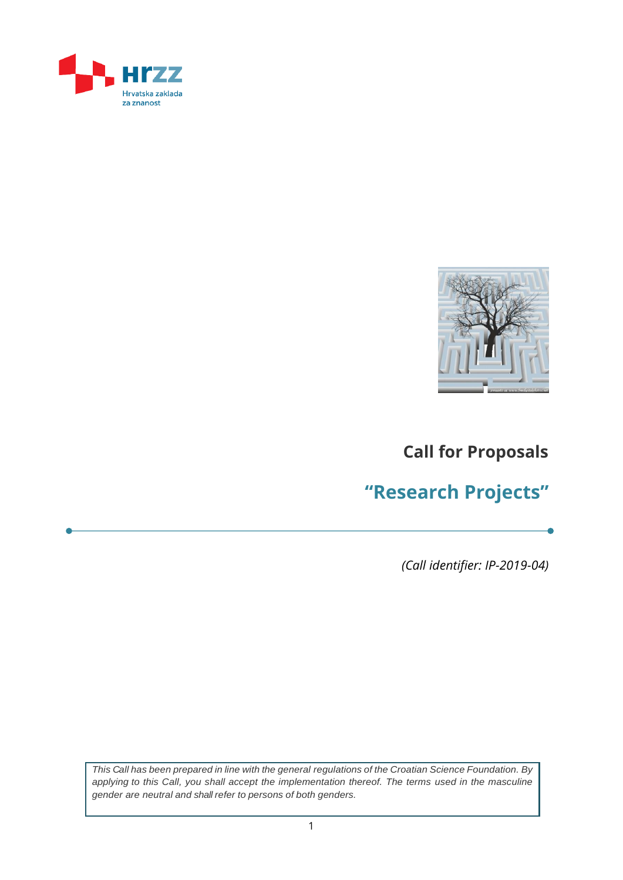



## **Call for Proposals**

# **"Research Projects"**

*(Call identifier: IP-2019-04)*

*This Call has been prepared in line with the general regulations of the Croatian Science Foundation. By applying to this Call, you shall accept the implementation thereof. The terms used in the masculine gender are neutral and shall refer to persons of both genders.*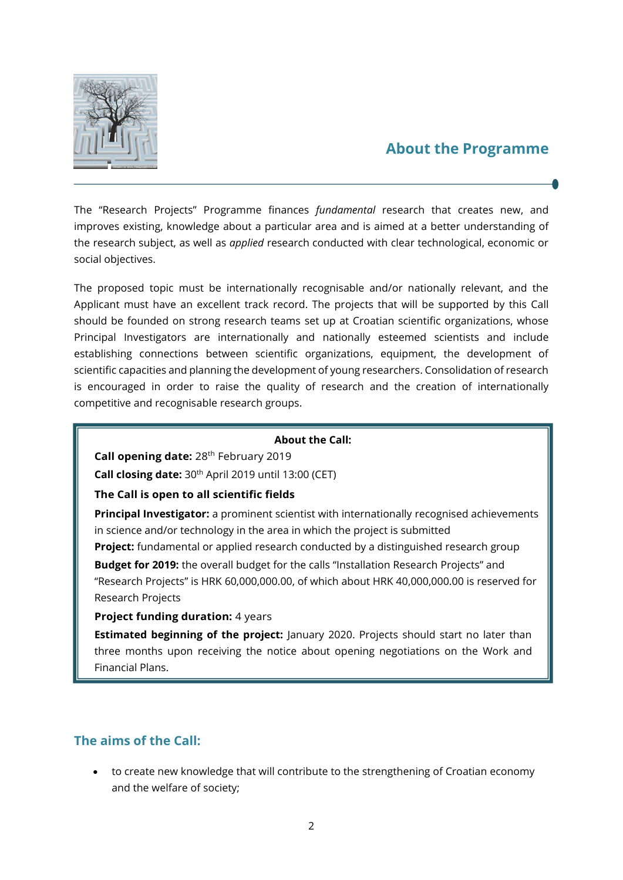

### **About the Programme**

The "Research Projects" Programme finances *fundamental* research that creates new, and improves existing, knowledge about a particular area and is aimed at a better understanding of the research subject, as well as *applied* research conducted with clear technological, economic or social objectives.

The proposed topic must be internationally recognisable and/or nationally relevant, and the Applicant must have an excellent track record. The projects that will be supported by this Call should be founded on strong research teams set up at Croatian scientific organizations, whose Principal Investigators are internationally and nationally esteemed scientists and include establishing connections between scientific organizations, equipment, the development of scientific capacities and planning the development of young researchers. Consolidation of research is encouraged in order to raise the quality of research and the creation of internationally competitive and recognisable research groups.

#### **About the Call:**

Call opening date: 28<sup>th</sup> February 2019

**Call closing date:** 30th April 2019 until 13:00 (CET)

#### **The Call is open to all scientific fields**

**Principal Investigator:** a prominent scientist with internationally recognised achievements in science and/or technology in the area in which the project is submitted

**Project:** fundamental or applied research conducted by a distinguished research group **Budget for 2019:** the overall budget for the calls "Installation Research Projects" and "Research Projects" is HRK 60,000,000.00, of which about HRK 40,000,000.00 is reserved for Research Projects

**Project funding duration: 4 years** 

**Estimated beginning of the project:** January 2020. Projects should start no later than three months upon receiving the notice about opening negotiations on the Work and Financial Plans.

#### **The aims of the Call:**

 to create new knowledge that will contribute to the strengthening of Croatian economy and the welfare of society;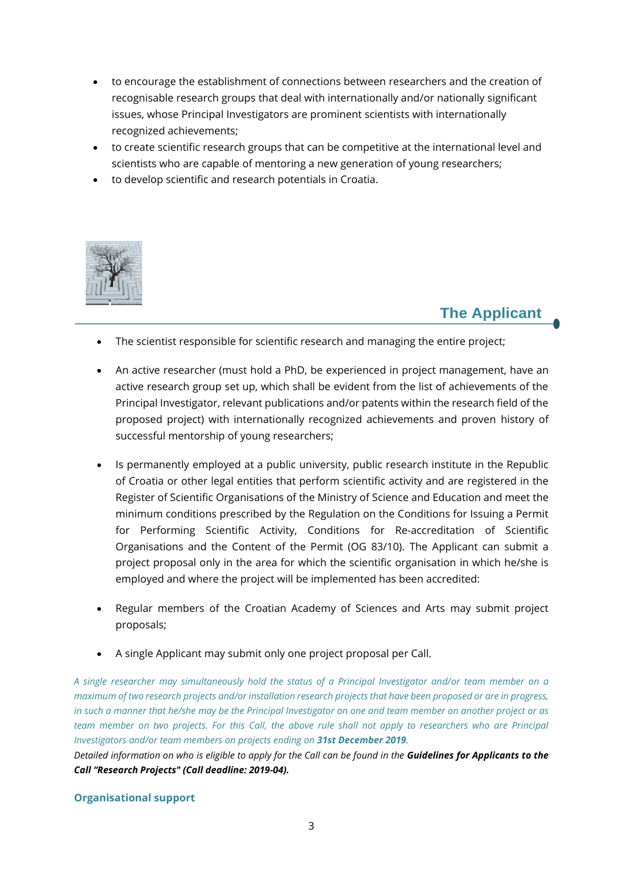- to encourage the establishment of connections between researchers and the creation of recognisable research groups that deal with internationally and/or nationally significant issues, whose Principal Investigators are prominent scientists with internationally recognized achievements;
- to create scientific research groups that can be competitive at the international level and scientists who are capable of mentoring a new generation of young researchers;
- to develop scientific and research potentials in Croatia.



### **The Applicant**

- The scientist responsible for scientific research and managing the entire project;
- An active researcher (must hold a PhD, be experienced in project management, have an active research group set up, which shall be evident from the list of achievements of the Principal Investigator, relevant publications and/or patents within the research field of the proposed project) with internationally recognized achievements and proven history of successful mentorship of young researchers;
- Is permanently employed at a public university, public research institute in the Republic of Croatia or other legal entities that perform scientific activity and are registered in the Register of Scientific Organisations of the Ministry of Science and Education and meet the minimum conditions prescribed by the Regulation on the Conditions for Issuing a Permit for Performing Scientific Activity, Conditions for Re-accreditation of Scientific Organisations and the Content of the Permit (OG 83/10). The Applicant can submit a project proposal only in the area for which the scientific organisation in which he/she is employed and where the project will be implemented has been accredited:
- Regular members of the Croatian Academy of Sciences and Arts may submit project proposals;
- A single Applicant may submit only one project proposal per Call.

*A single researcher may simultaneously hold the status of a Principal Investigator and/or team member on a maximum of two research projects and/or installation research projects that have been proposed or are in progress, in such a manner that he/she may be the Principal Investigator on one and team member on another project or as team member on two projects. For this Call, the above rule shall not apply to researchers who are Principal Investigators and/or team members on projects ending on 31st December 2019.*

*Detailed information on who is eligible to apply for the Call can be found in the Guidelines for Applicants to the Call "Research Projects" (Call deadline: 2019-04).*

#### **Organisational support**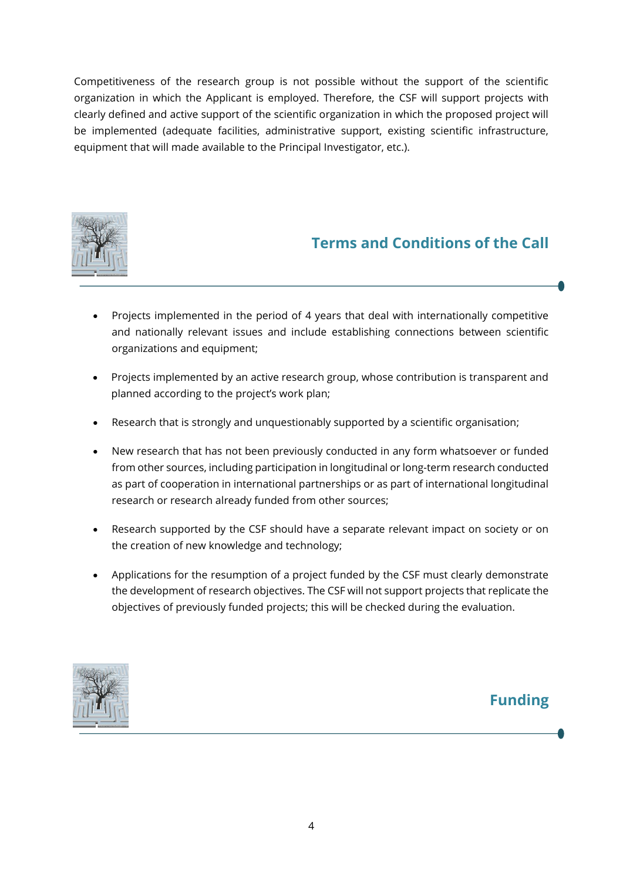Competitiveness of the research group is not possible without the support of the scientific organization in which the Applicant is employed. Therefore, the CSF will support projects with clearly defined and active support of the scientific organization in which the proposed project will be implemented (adequate facilities, administrative support, existing scientific infrastructure, equipment that will made available to the Principal Investigator, etc.).



## **Terms and Conditions of the Call**

- Projects implemented in the period of 4 years that deal with internationally competitive and nationally relevant issues and include establishing connections between scientific organizations and equipment;
- Projects implemented by an active research group, whose contribution is transparent and planned according to the project's work plan;
- Research that is strongly and unquestionably supported by a scientific organisation;
- New research that has not been previously conducted in any form whatsoever or funded from other sources, including participation in longitudinal or long-term research conducted as part of cooperation in international partnerships or as part of international longitudinal research or research already funded from other sources;
- Research supported by the CSF should have a separate relevant impact on society or on the creation of new knowledge and technology;
- Applications for the resumption of a project funded by the CSF must clearly demonstrate the development of research objectives. The CSF will not support projects that replicate the objectives of previously funded projects; this will be checked during the evaluation.



## **Funding**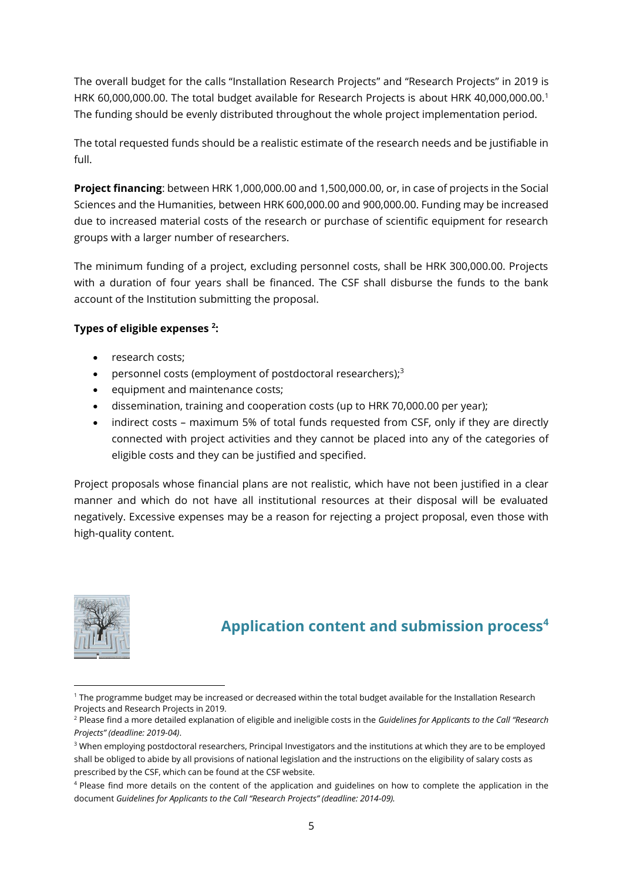The overall budget for the calls "Installation Research Projects" and "Research Projects" in 2019 is HRK 60,000,000.00. The total budget available for Research Projects is about HRK 40,000,000.00.<sup>1</sup> The funding should be evenly distributed throughout the whole project implementation period.

The total requested funds should be a realistic estimate of the research needs and be justifiable in full.

**Project financing**: between HRK 1,000,000.00 and 1,500,000.00, or, in case of projects in the Social Sciences and the Humanities, between HRK 600,000.00 and 900,000.00. Funding may be increased due to increased material costs of the research or purchase of scientific equipment for research groups with a larger number of researchers.

The minimum funding of a project, excluding personnel costs, shall be HRK 300,000.00. Projects with a duration of four years shall be financed. The CSF shall disburse the funds to the bank account of the Institution submitting the proposal.

#### **Types of eligible expenses <sup>2</sup> :**

- research costs;
- personnel costs (employment of postdoctoral researchers);<sup>3</sup>
- equipment and maintenance costs;
- dissemination, training and cooperation costs (up to HRK 70,000.00 per year);
- indirect costs maximum 5% of total funds requested from CSF, only if they are directly connected with project activities and they cannot be placed into any of the categories of eligible costs and they can be justified and specified.

Project proposals whose financial plans are not realistic, which have not been justified in a clear manner and which do not have all institutional resources at their disposal will be evaluated negatively. Excessive expenses may be a reason for rejecting a project proposal, even those with high-quality content.



### **Application content and submission process<sup>4</sup>**

<sup>1</sup> <sup>1</sup> The programme budget may be increased or decreased within the total budget available for the Installation Research Projects and Research Projects in 2019.

<sup>2</sup> Please find a more detailed explanation of eligible and ineligible costs in the *Guidelines for Applicants to the Call "Research Projects" (deadline: 2019-04)*.

<sup>&</sup>lt;sup>3</sup> When employing postdoctoral researchers, Principal Investigators and the institutions at which they are to be employed shall be obliged to abide by all provisions of national legislation and the instructions on the eligibility of salary costs as prescribed by the CSF, which can be found at the CSF website.

<sup>&</sup>lt;sup>4</sup> Please find more details on the content of the application and guidelines on how to complete the application in the document *Guidelines for Applicants to the Call "Research Projects" (deadline: 2014-09).*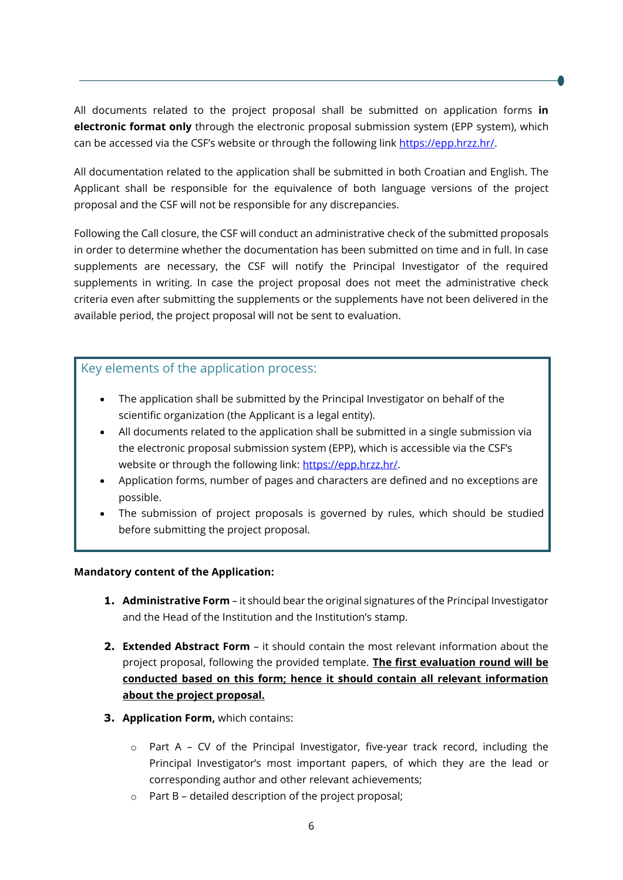All documents related to the project proposal shall be submitted on application forms **in electronic format only** through the electronic proposal submission system (EPP system), which can be accessed via the CSF's website or through the following link [https://epp.hrzz.hr/.](https://epp.hrzz.hr/)

All documentation related to the application shall be submitted in both Croatian and English. The Applicant shall be responsible for the equivalence of both language versions of the project proposal and the CSF will not be responsible for any discrepancies.

Following the Call closure, the CSF will conduct an administrative check of the submitted proposals in order to determine whether the documentation has been submitted on time and in full. In case supplements are necessary, the CSF will notify the Principal Investigator of the required supplements in writing. In case the project proposal does not meet the administrative check criteria even after submitting the supplements or the supplements have not been delivered in the available period, the project proposal will not be sent to evaluation.

#### Key elements of the application process:

- The application shall be submitted by the Principal Investigator on behalf of the scientific organization (the Applicant is a legal entity).
- All documents related to the application shall be submitted in a single submission via the electronic proposal submission system (EPP), which is accessible via the CSF's website or through the following link: [https://epp.hrzz.hr/.](https://epp.hrzz.hr/)
- Application forms, number of pages and characters are defined and no exceptions are possible.
- The submission of project proposals is governed by rules, which should be studied before submitting the project proposal.

#### **Mandatory content of the Application:**

- **1. Administrative Form**  it should bear the original signatures of the Principal Investigator and the Head of the Institution and the Institution's stamp.
- **2. Extended Abstract Form** it should contain the most relevant information about the project proposal, following the provided template. **The first evaluation round will be conducted based on this form; hence it should contain all relevant information about the project proposal.**
- **3. Application Form,** which contains:
	- $\circ$  Part A CV of the Principal Investigator, five-year track record, including the Principal Investigator's most important papers, of which they are the lead or corresponding author and other relevant achievements;
	- o Part B detailed description of the project proposal;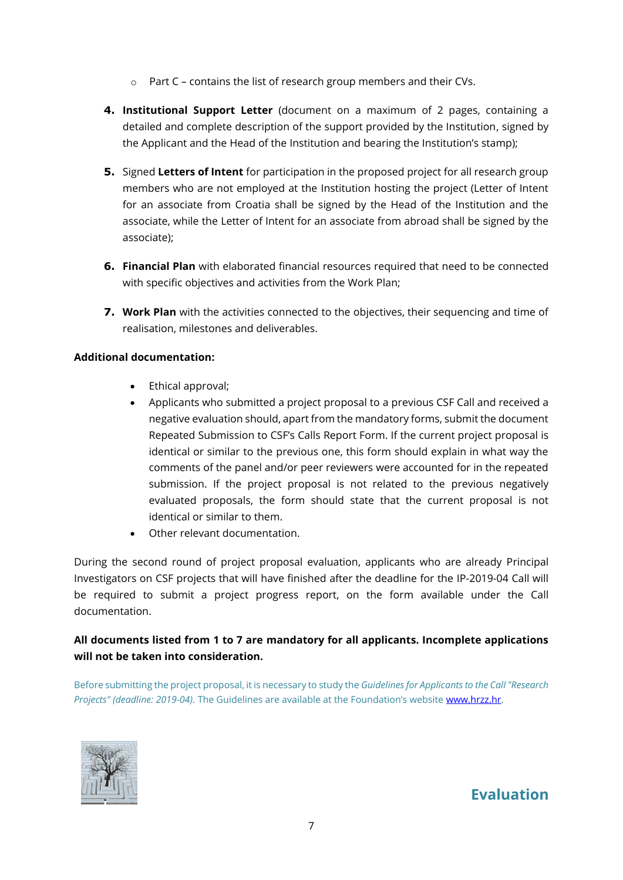- o Part C contains the list of research group members and their CVs.
- **4. Institutional Support Letter** (document on a maximum of 2 pages, containing a detailed and complete description of the support provided by the Institution, signed by the Applicant and the Head of the Institution and bearing the Institution's stamp);
- **5.** Signed **Letters of Intent** for participation in the proposed project for all research group members who are not employed at the Institution hosting the project (Letter of Intent for an associate from Croatia shall be signed by the Head of the Institution and the associate, while the Letter of Intent for an associate from abroad shall be signed by the associate);
- **6. Financial Plan** with elaborated financial resources required that need to be connected with specific objectives and activities from the Work Plan;
- **7. Work Plan** with the activities connected to the objectives, their sequencing and time of realisation, milestones and deliverables.

#### **Additional documentation:**

- Ethical approval;
- Applicants who submitted a project proposal to a previous CSF Call and received a negative evaluation should, apart from the mandatory forms, submit the document Repeated Submission to CSF's Calls Report Form. If the current project proposal is identical or similar to the previous one, this form should explain in what way the comments of the panel and/or peer reviewers were accounted for in the repeated submission. If the project proposal is not related to the previous negatively evaluated proposals, the form should state that the current proposal is not identical or similar to them.
- Other relevant documentation.

During the second round of project proposal evaluation, applicants who are already Principal Investigators on CSF projects that will have finished after the deadline for the IP-2019-04 Call will be required to submit a project progress report, on the form available under the Call documentation.

#### **All documents listed from 1 to 7 are mandatory for all applicants. Incomplete applications will not be taken into consideration.**

Before submitting the project proposal, it is necessary to study the *Guidelines for Applicants to the Call "Research Projects" (deadline: 2019-04)*. The Guidelines are available at the Foundation's website [www.hrzz.hr.](http://www.hrzz.hr/)



### **Evaluation**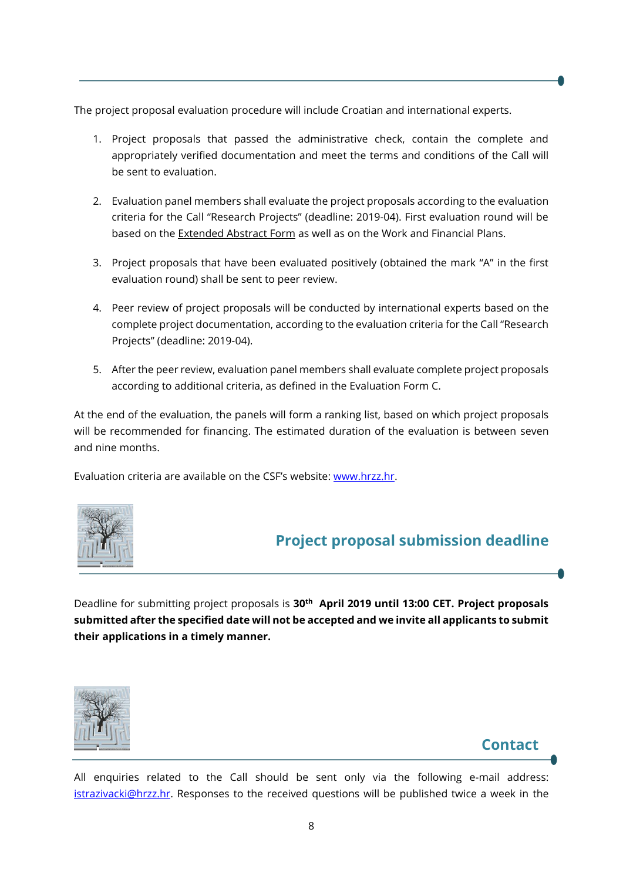The project proposal evaluation procedure will include Croatian and international experts.

- 1. Project proposals that passed the administrative check, contain the complete and appropriately verified documentation and meet the terms and conditions of the Call will be sent to evaluation.
- 2. Evaluation panel members shall evaluate the project proposals according to the evaluation criteria for the Call "Research Projects" (deadline: 2019-04). First evaluation round will be based on the Extended Abstract Form as well as on the Work and Financial Plans.
- 3. Project proposals that have been evaluated positively (obtained the mark "A" in the first evaluation round) shall be sent to peer review.
- 4. Peer review of project proposals will be conducted by international experts based on the complete project documentation, according to the evaluation criteria for the Call "Research Projects" (deadline: 2019-04).
- 5. After the peer review, evaluation panel members shall evaluate complete project proposals according to additional criteria, as defined in the Evaluation Form C.

At the end of the evaluation, the panels will form a ranking list, based on which project proposals will be recommended for financing. The estimated duration of the evaluation is between seven and nine months.

Evaluation criteria are available on the CSF's website: [www.hrzz.hr.](http://www.hrzz.hr/)



## **Project proposal submission deadline**

Deadline for submitting project proposals is **30th April 2019 until 13:00 CET. Project proposals submitted after the specified date will not be accepted and we invite all applicants to submit their applications in a timely manner.**



## **Contact**

All enquiries related to the Call should be sent only via the following e-mail address: [istrazivacki@hrzz.hr.](mailto:istrazivacki@hrzz.hr) Responses to the received questions will be published twice a week in the